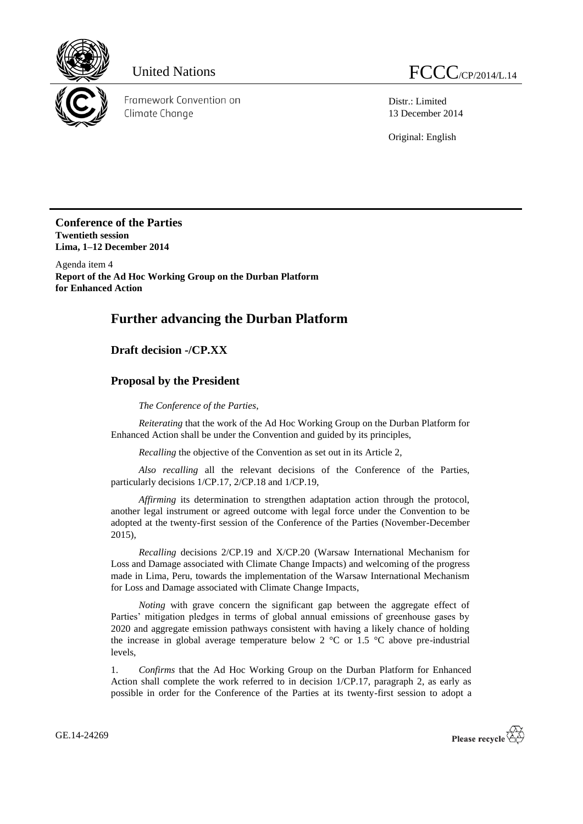

Framework Convention on Climate Change

Distr.: Limited 13 December 2014

Original: English

**Conference of the Parties Twentieth session Lima, 1–12 December 2014**

Agenda item 4 **Report of the Ad Hoc Working Group on the Durban Platform for Enhanced Action**

# **Further advancing the Durban Platform**

### **Draft decision -/CP.XX**

#### **Proposal by the President**

*The Conference of the Parties*,

*Reiterating* that the work of the Ad Hoc Working Group on the Durban Platform for Enhanced Action shall be under the Convention and guided by its principles,

*Recalling* the objective of the Convention as set out in its Article 2,

*Also recalling* all the relevant decisions of the Conference of the Parties, particularly decisions 1/CP.17, 2/CP.18 and 1/CP.19,

*Affirming* its determination to strengthen adaptation action through the protocol, another legal instrument or agreed outcome with legal force under the Convention to be adopted at the twenty-first session of the Conference of the Parties (November-December 2015),

*Recalling* decisions 2/CP.19 and X/CP.20 (Warsaw International Mechanism for Loss and Damage associated with Climate Change Impacts) and welcoming of the progress made in Lima, Peru, towards the implementation of the Warsaw International Mechanism for Loss and Damage associated with Climate Change Impacts,

*Noting* with grave concern the significant gap between the aggregate effect of Parties' mitigation pledges in terms of global annual emissions of greenhouse gases by 2020 and aggregate emission pathways consistent with having a likely chance of holding the increase in global average temperature below 2  $^{\circ}$ C or 1.5  $^{\circ}$ C above pre-industrial levels,

1. *Confirms* that the Ad Hoc Working Group on the Durban Platform for Enhanced Action shall complete the work referred to in decision 1/CP.17, paragraph 2, as early as possible in order for the Conference of the Parties at its twenty-first session to adopt a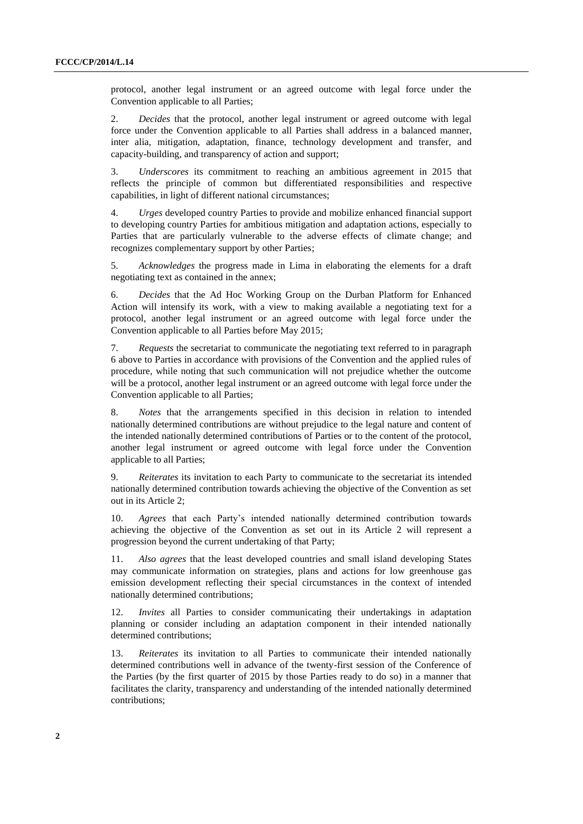protocol, another legal instrument or an agreed outcome with legal force under the Convention applicable to all Parties;

2. *Decides* that the protocol, another legal instrument or agreed outcome with legal force under the Convention applicable to all Parties shall address in a balanced manner, inter alia, mitigation, adaptation, finance, technology development and transfer, and capacity-building, and transparency of action and support;

3. *Underscores* its commitment to reaching an ambitious agreement in 2015 that reflects the principle of common but differentiated responsibilities and respective capabilities, in light of different national circumstances;

4. *Urges* developed country Parties to provide and mobilize enhanced financial support to developing country Parties for ambitious mitigation and adaptation actions, especially to Parties that are particularly vulnerable to the adverse effects of climate change; and recognizes complementary support by other Parties;

5. *Acknowledges* the progress made in Lima in elaborating the elements for a draft negotiating text as contained in the annex;

6. *Decides* that the Ad Hoc Working Group on the Durban Platform for Enhanced Action will intensify its work, with a view to making available a negotiating text for a protocol, another legal instrument or an agreed outcome with legal force under the Convention applicable to all Parties before May 2015;

7. *Requests* the secretariat to communicate the negotiating text referred to in paragraph 6 above to Parties in accordance with provisions of the Convention and the applied rules of procedure, while noting that such communication will not prejudice whether the outcome will be a protocol, another legal instrument or an agreed outcome with legal force under the Convention applicable to all Parties;

8. *Notes* that the arrangements specified in this decision in relation to intended nationally determined contributions are without prejudice to the legal nature and content of the intended nationally determined contributions of Parties or to the content of the protocol, another legal instrument or agreed outcome with legal force under the Convention applicable to all Parties;

9. *Reiterates* its invitation to each Party to communicate to the secretariat its intended nationally determined contribution towards achieving the objective of the Convention as set out in its Article 2;

10. *Agrees* that each Party's intended nationally determined contribution towards achieving the objective of the Convention as set out in its Article 2 will represent a progression beyond the current undertaking of that Party;

11. *Also agrees* that the least developed countries and small island developing States may communicate information on strategies, plans and actions for low greenhouse gas emission development reflecting their special circumstances in the context of intended nationally determined contributions;

*Invites* all Parties to consider communicating their undertakings in adaptation planning or consider including an adaptation component in their intended nationally determined contributions;

13. *Reiterates* its invitation to all Parties to communicate their intended nationally determined contributions well in advance of the twenty-first session of the Conference of the Parties (by the first quarter of 2015 by those Parties ready to do so) in a manner that facilitates the clarity, transparency and understanding of the intended nationally determined contributions;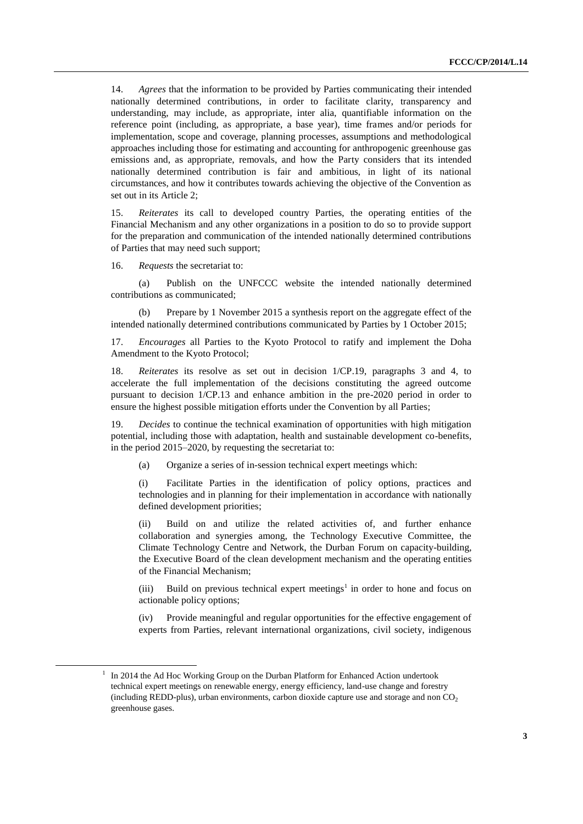14. *Agrees* that the information to be provided by Parties communicating their intended nationally determined contributions, in order to facilitate clarity, transparency and understanding, may include, as appropriate, inter alia, quantifiable information on the reference point (including, as appropriate, a base year), time frames and/or periods for implementation, scope and coverage, planning processes, assumptions and methodological approaches including those for estimating and accounting for anthropogenic greenhouse gas emissions and, as appropriate, removals, and how the Party considers that its intended nationally determined contribution is fair and ambitious, in light of its national circumstances, and how it contributes towards achieving the objective of the Convention as set out in its Article 2;

15. *Reiterates* its call to developed country Parties, the operating entities of the Financial Mechanism and any other organizations in a position to do so to provide support for the preparation and communication of the intended nationally determined contributions of Parties that may need such support;

16. *Requests* the secretariat to:

-

(a) Publish on the UNFCCC website the intended nationally determined contributions as communicated;

(b) Prepare by 1 November 2015 a synthesis report on the aggregate effect of the intended nationally determined contributions communicated by Parties by 1 October 2015;

17. *Encourages* all Parties to the Kyoto Protocol to ratify and implement the Doha Amendment to the Kyoto Protocol;

18. *Reiterates* its resolve as set out in decision 1/CP.19, paragraphs 3 and 4, to accelerate the full implementation of the decisions constituting the agreed outcome pursuant to decision 1/CP.13 and enhance ambition in the pre-2020 period in order to ensure the highest possible mitigation efforts under the Convention by all Parties;

19. *Decides* to continue the technical examination of opportunities with high mitigation potential, including those with adaptation, health and sustainable development co-benefits, in the period 2015–2020, by requesting the secretariat to:

(a) Organize a series of in-session technical expert meetings which:

(i) Facilitate Parties in the identification of policy options, practices and technologies and in planning for their implementation in accordance with nationally defined development priorities;

Build on and utilize the related activities of, and further enhance collaboration and synergies among, the Technology Executive Committee, the Climate Technology Centre and Network, the Durban Forum on capacity-building, the Executive Board of the clean development mechanism and the operating entities of the Financial Mechanism;

 $(iii)$  Build on previous technical expert meetings<sup>1</sup> in order to hone and focus on actionable policy options;

(iv) Provide meaningful and regular opportunities for the effective engagement of experts from Parties, relevant international organizations, civil society, indigenous

 $1$  In 2014 the Ad Hoc Working Group on the Durban Platform for Enhanced Action undertook technical expert meetings on renewable energy, energy efficiency, land-use change and forestry (including REDD-plus), urban environments, carbon dioxide capture use and storage and non  $CO<sub>2</sub>$ greenhouse gases.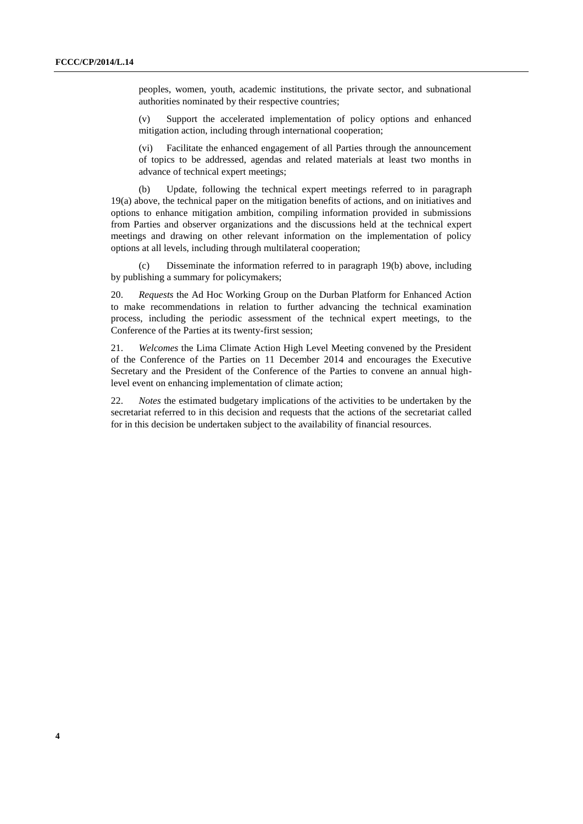peoples, women, youth, academic institutions, the private sector, and subnational authorities nominated by their respective countries;

(v) Support the accelerated implementation of policy options and enhanced mitigation action, including through international cooperation;

(vi) Facilitate the enhanced engagement of all Parties through the announcement of topics to be addressed, agendas and related materials at least two months in advance of technical expert meetings;

(b) Update, following the technical expert meetings referred to in paragraph 19(a) above, the technical paper on the mitigation benefits of actions, and on initiatives and options to enhance mitigation ambition, compiling information provided in submissions from Parties and observer organizations and the discussions held at the technical expert meetings and drawing on other relevant information on the implementation of policy options at all levels, including through multilateral cooperation;

(c) Disseminate the information referred to in paragraph 19(b) above, including by publishing a summary for policymakers;

20. *Requests* the Ad Hoc Working Group on the Durban Platform for Enhanced Action to make recommendations in relation to further advancing the technical examination process, including the periodic assessment of the technical expert meetings, to the Conference of the Parties at its twenty-first session;

21. *Welcomes* the Lima Climate Action High Level Meeting convened by the President of the Conference of the Parties on 11 December 2014 and encourages the Executive Secretary and the President of the Conference of the Parties to convene an annual highlevel event on enhancing implementation of climate action;

22. *Notes* the estimated budgetary implications of the activities to be undertaken by the secretariat referred to in this decision and requests that the actions of the secretariat called for in this decision be undertaken subject to the availability of financial resources.